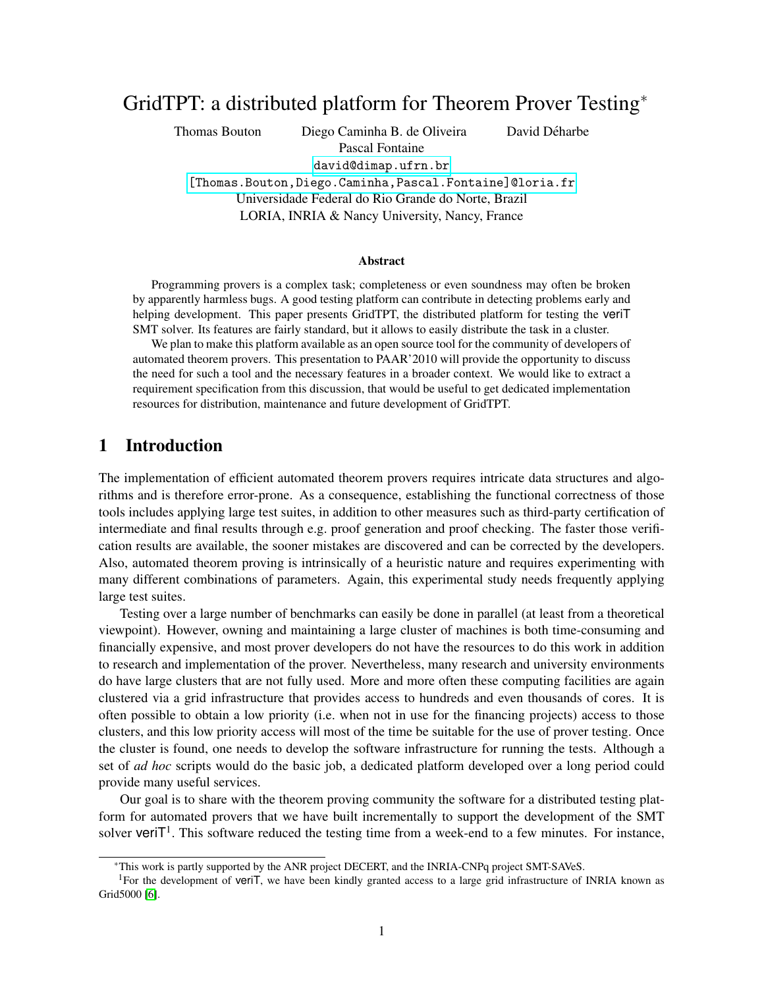# GridTPT: a distributed platform for Theorem Prover Testing<sup>∗</sup>

Thomas Bouton Diego Caminha B. de Oliveira David Déharbe Pascal Fontaine

<david@dimap.ufrn.br>

[\[Thomas.Bouton,Diego.Caminha,Pascal.Fontaine\]@loria.fr]([Thomas.Bouton,Diego.Caminha,Pascal.Fontaine]@loria.fr) Universidade Federal do Rio Grande do Norte, Brazil LORIA, INRIA & Nancy University, Nancy, France

#### Abstract

Programming provers is a complex task; completeness or even soundness may often be broken by apparently harmless bugs. A good testing platform can contribute in detecting problems early and helping development. This paper presents GridTPT, the distributed platform for testing the veriT SMT solver. Its features are fairly standard, but it allows to easily distribute the task in a cluster.

We plan to make this platform available as an open source tool for the community of developers of automated theorem provers. This presentation to PAAR'2010 will provide the opportunity to discuss the need for such a tool and the necessary features in a broader context. We would like to extract a requirement specification from this discussion, that would be useful to get dedicated implementation resources for distribution, maintenance and future development of GridTPT.

### 1 Introduction

The implementation of efficient automated theorem provers requires intricate data structures and algorithms and is therefore error-prone. As a consequence, establishing the functional correctness of those tools includes applying large test suites, in addition to other measures such as third-party certification of intermediate and final results through e.g. proof generation and proof checking. The faster those verification results are available, the sooner mistakes are discovered and can be corrected by the developers. Also, automated theorem proving is intrinsically of a heuristic nature and requires experimenting with many different combinations of parameters. Again, this experimental study needs frequently applying large test suites.

Testing over a large number of benchmarks can easily be done in parallel (at least from a theoretical viewpoint). However, owning and maintaining a large cluster of machines is both time-consuming and financially expensive, and most prover developers do not have the resources to do this work in addition to research and implementation of the prover. Nevertheless, many research and university environments do have large clusters that are not fully used. More and more often these computing facilities are again clustered via a grid infrastructure that provides access to hundreds and even thousands of cores. It is often possible to obtain a low priority (i.e. when not in use for the financing projects) access to those clusters, and this low priority access will most of the time be suitable for the use of prover testing. Once the cluster is found, one needs to develop the software infrastructure for running the tests. Although a set of *ad hoc* scripts would do the basic job, a dedicated platform developed over a long period could provide many useful services.

Our goal is to share with the theorem proving community the software for a distributed testing platform for automated provers that we have built incrementally to support the development of the SMT solver veri $T^1$ . This software reduced the testing time from a week-end to a few minutes. For instance,

<sup>∗</sup>This work is partly supported by the ANR project DECERT, and the INRIA-CNPq project SMT-SAVeS.

<sup>&</sup>lt;sup>1</sup>For the development of veriT, we have been kindly granted access to a large grid infrastructure of INRIA known as Grid5000 [\[6\]](#page-6-0).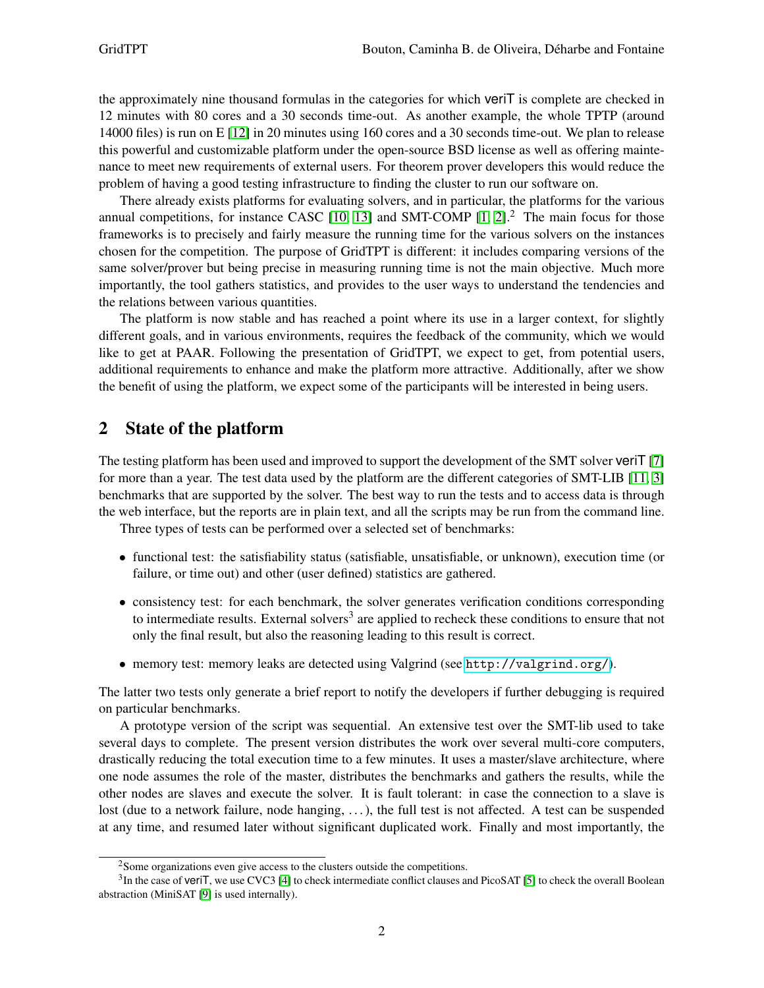the approximately nine thousand formulas in the categories for which veriT is complete are checked in 12 minutes with 80 cores and a 30 seconds time-out. As another example, the whole TPTP (around 14000 files) is run on E [\[12\]](#page-6-1) in 20 minutes using 160 cores and a 30 seconds time-out. We plan to release this powerful and customizable platform under the open-source BSD license as well as offering maintenance to meet new requirements of external users. For theorem prover developers this would reduce the problem of having a good testing infrastructure to finding the cluster to run our software on.

There already exists platforms for evaluating solvers, and in particular, the platforms for the various annual competitions, for instance CASC  $[10, 13]$  $[10, 13]$  and SMT-COMP  $[1, 2]$  $[1, 2]$ .<sup>2</sup> The main focus for those frameworks is to precisely and fairly measure the running time for the various solvers on the instances chosen for the competition. The purpose of GridTPT is different: it includes comparing versions of the same solver/prover but being precise in measuring running time is not the main objective. Much more importantly, the tool gathers statistics, and provides to the user ways to understand the tendencies and the relations between various quantities.

The platform is now stable and has reached a point where its use in a larger context, for slightly different goals, and in various environments, requires the feedback of the community, which we would like to get at PAAR. Following the presentation of GridTPT, we expect to get, from potential users, additional requirements to enhance and make the platform more attractive. Additionally, after we show the benefit of using the platform, we expect some of the participants will be interested in being users.

### 2 State of the platform

The testing platform has been used and improved to support the development of the SMT solver veriT [\[7\]](#page-6-4) for more than a year. The test data used by the platform are the different categories of SMT-LIB [\[11,](#page-6-5) [3\]](#page-5-2) benchmarks that are supported by the solver. The best way to run the tests and to access data is through the web interface, but the reports are in plain text, and all the scripts may be run from the command line.

Three types of tests can be performed over a selected set of benchmarks:

- functional test: the satisfiability status (satisfiable, unsatisfiable, or unknown), execution time (or failure, or time out) and other (user defined) statistics are gathered.
- consistency test: for each benchmark, the solver generates verification conditions corresponding to intermediate results. External solvers<sup>3</sup> are applied to recheck these conditions to ensure that not only the final result, but also the reasoning leading to this result is correct.
- memory test: memory leaks are detected using Valgrind (see <http://valgrind.org/>).

The latter two tests only generate a brief report to notify the developers if further debugging is required on particular benchmarks.

A prototype version of the script was sequential. An extensive test over the SMT-lib used to take several days to complete. The present version distributes the work over several multi-core computers, drastically reducing the total execution time to a few minutes. It uses a master/slave architecture, where one node assumes the role of the master, distributes the benchmarks and gathers the results, while the other nodes are slaves and execute the solver. It is fault tolerant: in case the connection to a slave is lost (due to a network failure, node hanging, . . . ), the full test is not affected. A test can be suspended at any time, and resumed later without significant duplicated work. Finally and most importantly, the

<sup>&</sup>lt;sup>2</sup>Some organizations even give access to the clusters outside the competitions.

 $3$ In the case of veriT, we use CVC3 [\[4\]](#page-5-3) to check intermediate conflict clauses and PicoSAT [\[5\]](#page-5-4) to check the overall Boolean abstraction (MiniSAT [\[9\]](#page-6-6) is used internally).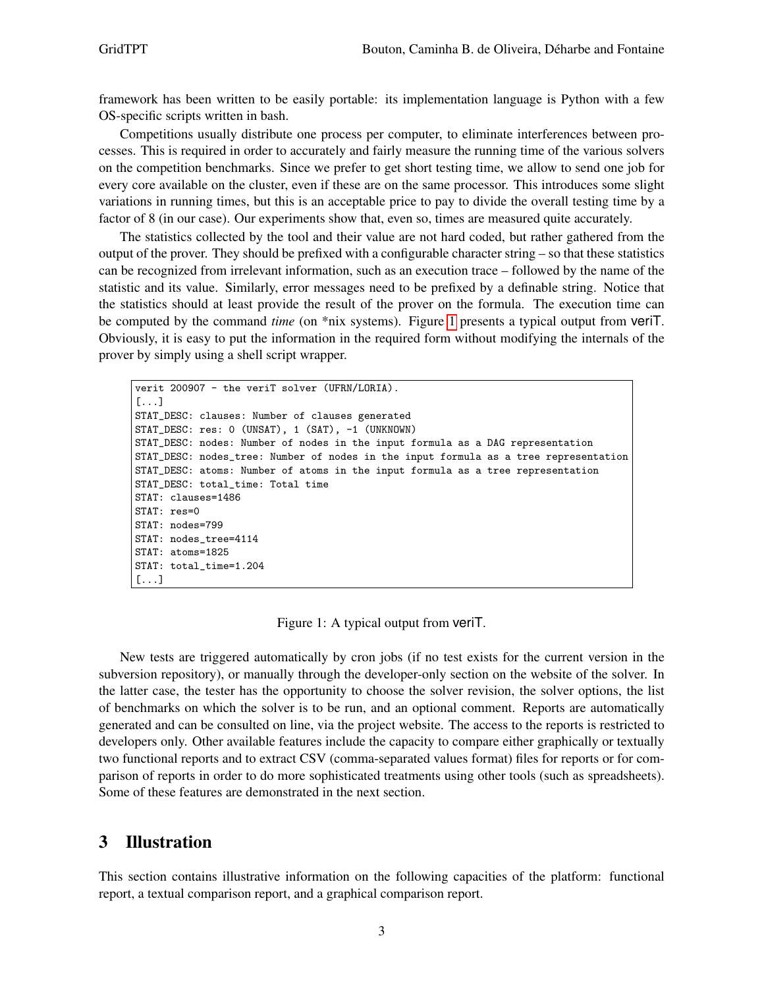framework has been written to be easily portable: its implementation language is Python with a few OS-specific scripts written in bash.

Competitions usually distribute one process per computer, to eliminate interferences between processes. This is required in order to accurately and fairly measure the running time of the various solvers on the competition benchmarks. Since we prefer to get short testing time, we allow to send one job for every core available on the cluster, even if these are on the same processor. This introduces some slight variations in running times, but this is an acceptable price to pay to divide the overall testing time by a factor of 8 (in our case). Our experiments show that, even so, times are measured quite accurately.

The statistics collected by the tool and their value are not hard coded, but rather gathered from the output of the prover. They should be prefixed with a configurable character string – so that these statistics can be recognized from irrelevant information, such as an execution trace – followed by the name of the statistic and its value. Similarly, error messages need to be prefixed by a definable string. Notice that the statistics should at least provide the result of the prover on the formula. The execution time can be computed by the command *time* (on \*nix systems). Figure [1](#page-2-0) presents a typical output from veriT. Obviously, it is easy to put the information in the required form without modifying the internals of the prover by simply using a shell script wrapper.

```
verit 200907 - the veriT solver (UFRN/LORIA).
[...]
STAT_DESC: clauses: Number of clauses generated
STAT_DESC: res: 0 (UNSAT), 1 (SAT), -1 (UNKNOWN)
STAT_DESC: nodes: Number of nodes in the input formula as a DAG representation
STAT_DESC: nodes_tree: Number of nodes in the input formula as a tree representation
STAT_DESC: atoms: Number of atoms in the input formula as a tree representation
STAT_DESC: total_time: Total time
STAT: clauses=1486
STAT: res=0
STAT: nodes=799
STAT: nodes_tree=4114
STAT: atoms=1825
STAT: total_time=1.204
[...]
```
<span id="page-2-0"></span>Figure 1: A typical output from veriT.

New tests are triggered automatically by cron jobs (if no test exists for the current version in the subversion repository), or manually through the developer-only section on the website of the solver. In the latter case, the tester has the opportunity to choose the solver revision, the solver options, the list of benchmarks on which the solver is to be run, and an optional comment. Reports are automatically generated and can be consulted on line, via the project website. The access to the reports is restricted to developers only. Other available features include the capacity to compare either graphically or textually two functional reports and to extract CSV (comma-separated values format) files for reports or for comparison of reports in order to do more sophisticated treatments using other tools (such as spreadsheets). Some of these features are demonstrated in the next section.

### 3 Illustration

This section contains illustrative information on the following capacities of the platform: functional report, a textual comparison report, and a graphical comparison report.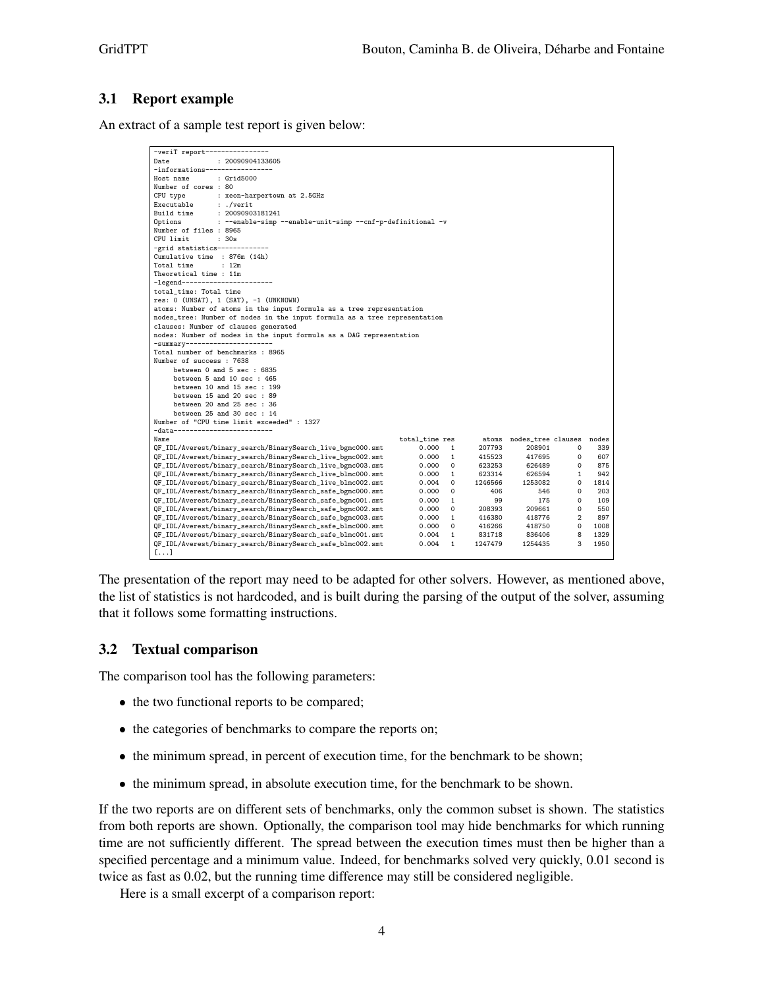### 3.1 Report example

An extract of a sample test report is given below:

| -veriT report----------------                                             |                |              |         |                          |                |      |  |  |  |
|---------------------------------------------------------------------------|----------------|--------------|---------|--------------------------|----------------|------|--|--|--|
| Date<br>: 20090904133605                                                  |                |              |         |                          |                |      |  |  |  |
|                                                                           |                |              |         |                          |                |      |  |  |  |
| Host name<br>: Grid5000                                                   |                |              |         |                          |                |      |  |  |  |
| Number of cores : 80                                                      |                |              |         |                          |                |      |  |  |  |
|                                                                           |                |              |         |                          |                |      |  |  |  |
| CPU type<br>: xeon-harpertown at 2.5GHz<br>Executable<br>: ./verit        |                |              |         |                          |                |      |  |  |  |
| Build time<br>: 20090903181241                                            |                |              |         |                          |                |      |  |  |  |
| Options<br>: --enable-simp --enable-unit-simp --cnf-p-definitional -v     |                |              |         |                          |                |      |  |  |  |
| Number of files : 8965                                                    |                |              |         |                          |                |      |  |  |  |
| CPU limit<br>:30s                                                         |                |              |         |                          |                |      |  |  |  |
| -grid statistics-------------                                             |                |              |         |                          |                |      |  |  |  |
| Cumulative time : 876m (14h)                                              |                |              |         |                          |                |      |  |  |  |
| : 12m<br>Total time                                                       |                |              |         |                          |                |      |  |  |  |
| Theoretical time : 11m                                                    |                |              |         |                          |                |      |  |  |  |
| -legend------------------------                                           |                |              |         |                          |                |      |  |  |  |
| total_time: Total time                                                    |                |              |         |                          |                |      |  |  |  |
| $res: 0$ (UNSAT), $1$ (SAT), $-1$ (UNKNOWN)                               |                |              |         |                          |                |      |  |  |  |
| atoms: Number of atoms in the input formula as a tree representation      |                |              |         |                          |                |      |  |  |  |
| nodes_tree: Number of nodes in the input formula as a tree representation |                |              |         |                          |                |      |  |  |  |
| clauses: Number of clauses generated                                      |                |              |         |                          |                |      |  |  |  |
| nodes: Number of nodes in the input formula as a DAG representation       |                |              |         |                          |                |      |  |  |  |
| -summary-----------------------                                           |                |              |         |                          |                |      |  |  |  |
| Total number of benchmarks : 8965                                         |                |              |         |                          |                |      |  |  |  |
| Number of success : 7638                                                  |                |              |         |                          |                |      |  |  |  |
| between 0 and 5 sec : 6835                                                |                |              |         |                          |                |      |  |  |  |
| between 5 and 10 sec : 465                                                |                |              |         |                          |                |      |  |  |  |
| between 10 and 15 sec : 199                                               |                |              |         |                          |                |      |  |  |  |
| between 15 and 20 sec : 89                                                |                |              |         |                          |                |      |  |  |  |
| between 20 and 25 sec : 36                                                |                |              |         |                          |                |      |  |  |  |
| between 25 and 30 sec : 14                                                |                |              |         |                          |                |      |  |  |  |
| Number of "CPU time limit exceeded" : 1327                                |                |              |         |                          |                |      |  |  |  |
| -data--------------------------                                           |                |              |         |                          |                |      |  |  |  |
| Name                                                                      | total_time res |              | atoms   | nodes_tree clauses nodes |                |      |  |  |  |
| QF_IDL/Averest/binary_search/BinarySearch_live_bgmc000.smt                | 0.000          | 1            | 207793  | 208901                   | 0              | 339  |  |  |  |
| QF_IDL/Averest/binary_search/BinarySearch_live_bgmc002.smt                | 0.000          | $\mathbf{1}$ | 415523  | 417695                   | $\Omega$       | 607  |  |  |  |
| QF_IDL/Averest/binary_search/BinarySearch_live_bgmc003.smt                | 0.000          | 0            | 623253  | 626489                   | 0              | 875  |  |  |  |
| QF_IDL/Averest/binary_search/BinarySearch_live_blmc000.smt                | 0.000          | $\mathbf{1}$ | 623314  | 626594                   | $\mathbf{1}$   | 942  |  |  |  |
| QF_IDL/Averest/binary_search/BinarySearch_live_blmc002.smt                | 0.004          | $\Omega$     | 1246566 | 1253082                  | $\Omega$       | 1814 |  |  |  |
| QF_IDL/Averest/binary_search/BinarySearch_safe_bgmc000.smt                | 0.000          | 0            | 406     | 546                      | 0              | 203  |  |  |  |
| QF_IDL/Averest/binary_search/BinarySearch_safe_bgmc001.smt                | 0.000          | -1           | 99      | 175                      | 0              | 109  |  |  |  |
| QF_IDL/Averest/binary_search/BinarySearch_safe_bgmc002.smt                | 0.000          | 0            | 208393  | 209661                   | 0              | 550  |  |  |  |
| QF_IDL/Averest/binary_search/BinarySearch_safe_bgmc003.smt                | 0.000          | $\mathbf{1}$ | 416380  | 418776                   | $\mathfrak{D}$ | 897  |  |  |  |
| QF_IDL/Averest/binary_search/BinarySearch_safe_blmc000.smt                | 0.000          | 0            | 416266  | 418750                   | $\circ$        | 1008 |  |  |  |
| QF_IDL/Averest/binary_search/BinarySearch_safe_blmc001.smt                | 0.004          | $\mathbf{1}$ | 831718  | 836406                   | 8              | 1329 |  |  |  |
| QF_IDL/Averest/binary_search/BinarySearch_safe_blmc002.smt                | 0.004          | $\mathbf{1}$ | 1247479 | 1254435                  | 3              | 1950 |  |  |  |
| $[\ldots]$                                                                |                |              |         |                          |                |      |  |  |  |

The presentation of the report may need to be adapted for other solvers. However, as mentioned above, the list of statistics is not hardcoded, and is built during the parsing of the output of the solver, assuming that it follows some formatting instructions.

#### 3.2 Textual comparison

The comparison tool has the following parameters:

- the two functional reports to be compared;
- the categories of benchmarks to compare the reports on;
- the minimum spread, in percent of execution time, for the benchmark to be shown;
- the minimum spread, in absolute execution time, for the benchmark to be shown.

If the two reports are on different sets of benchmarks, only the common subset is shown. The statistics from both reports are shown. Optionally, the comparison tool may hide benchmarks for which running time are not sufficiently different. The spread between the execution times must then be higher than a specified percentage and a minimum value. Indeed, for benchmarks solved very quickly, 0.01 second is twice as fast as 0.02, but the running time difference may still be considered negligible.

Here is a small excerpt of a comparison report: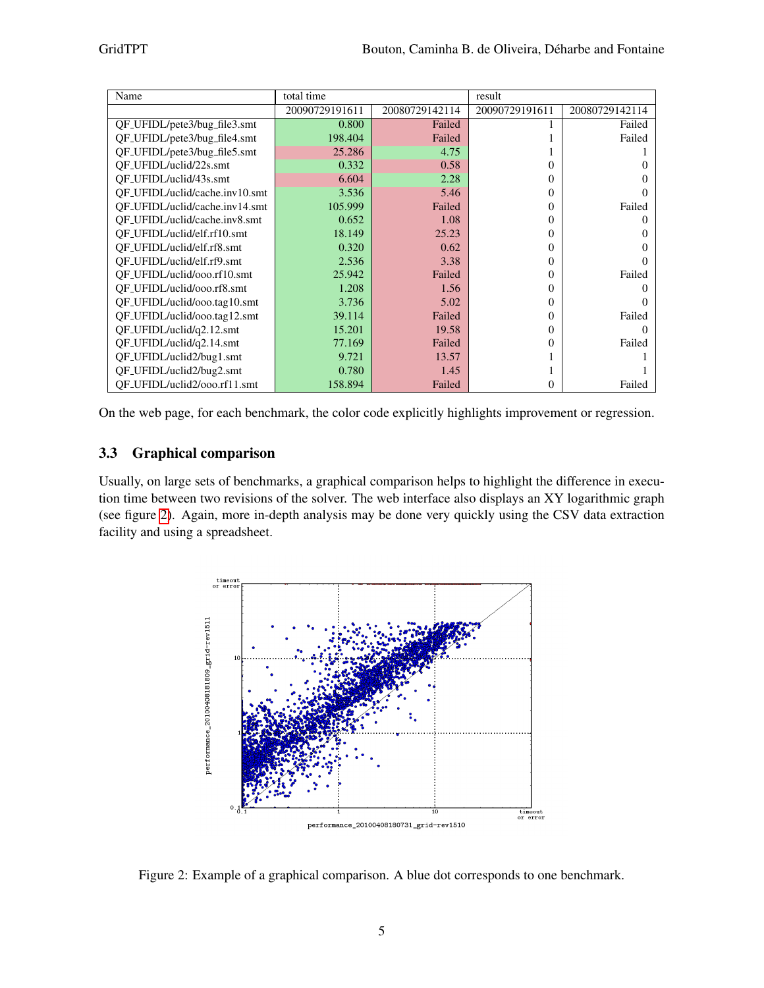| Name                           | total time     |                | result         |                |  |
|--------------------------------|----------------|----------------|----------------|----------------|--|
|                                | 20090729191611 | 20080729142114 | 20090729191611 | 20080729142114 |  |
| QF_UFIDL/pete3/bug_file3.smt   | 0.800          | Failed         |                | Failed         |  |
| QF_UFIDL/pete3/bug_file4.smt   | 198.404        | Failed         |                | Failed         |  |
| OF_UFIDL/pete3/bug_file5.smt   | 25.286         | 4.75           |                |                |  |
| OF_UFIDL/uclid/22s.smt         | 0.332          | 0.58           | 0              |                |  |
| OF_UFIDL/uclid/43s.smt         | 6.604          | 2.28           | 0              |                |  |
| OF_UFIDL/uclid/cache.inv10.smt | 3.536          | 5.46           | 0              |                |  |
| OF_UFIDL/uclid/cache.inv14.smt | 105.999        | Failed         | 0              | Failed         |  |
| OF_UFIDL/uclid/cache.inv8.smt  | 0.652          | 1.08           | 0              | 0              |  |
| OF_UFIDL/uclid/elf.rf10.smt    | 18.149         | 25.23          | 0              |                |  |
| OF_UFIDL/uclid/elf.rf8.smt     | 0.320          | 0.62           | 0              |                |  |
| OF_UFIDL/uclid/elf.rf9.smt     | 2.536          | 3.38           | 0              |                |  |
| OF_UFIDL/uclid/ooo.rf10.smt    | 25.942         | Failed         | 0              | Failed         |  |
| OF_UFIDL/uclid/ooo.rf8.smt     | 1.208          | 1.56           | 0              |                |  |
| QF_UFIDL/uclid/ooo.tag10.smt   | 3.736          | 5.02           | 0              |                |  |
| QF_UFIDL/uclid/ooo.tag12.smt   | 39.114         | Failed         | 0              | Failed         |  |
| QF_UFIDL/uclid/q2.12.smt       | 15.201         | 19.58          | 0              |                |  |
| QF_UFIDL/uclid/q2.14.smt       | 77.169         | Failed         | 0              | Failed         |  |
| QF_UFIDL/uclid2/bug1.smt       | 9.721          | 13.57          |                |                |  |
| QF_UFIDL/uclid2/bug2.smt       | 0.780          | 1.45           |                |                |  |
| OF_UFIDL/uclid2/ooo.rf11.smt   | 158.894        | Failed         | 0              | Failed         |  |

On the web page, for each benchmark, the color code explicitly highlights improvement or regression.

### 3.3 Graphical comparison

Usually, on large sets of benchmarks, a graphical comparison helps to highlight the difference in execution time between two revisions of the solver. The web interface also displays an XY logarithmic graph (see figure [2\)](#page-4-0). Again, more in-depth analysis may be done very quickly using the CSV data extraction facility and using a spreadsheet.



<span id="page-4-0"></span>Figure 2: Example of a graphical comparison. A blue dot corresponds to one benchmark.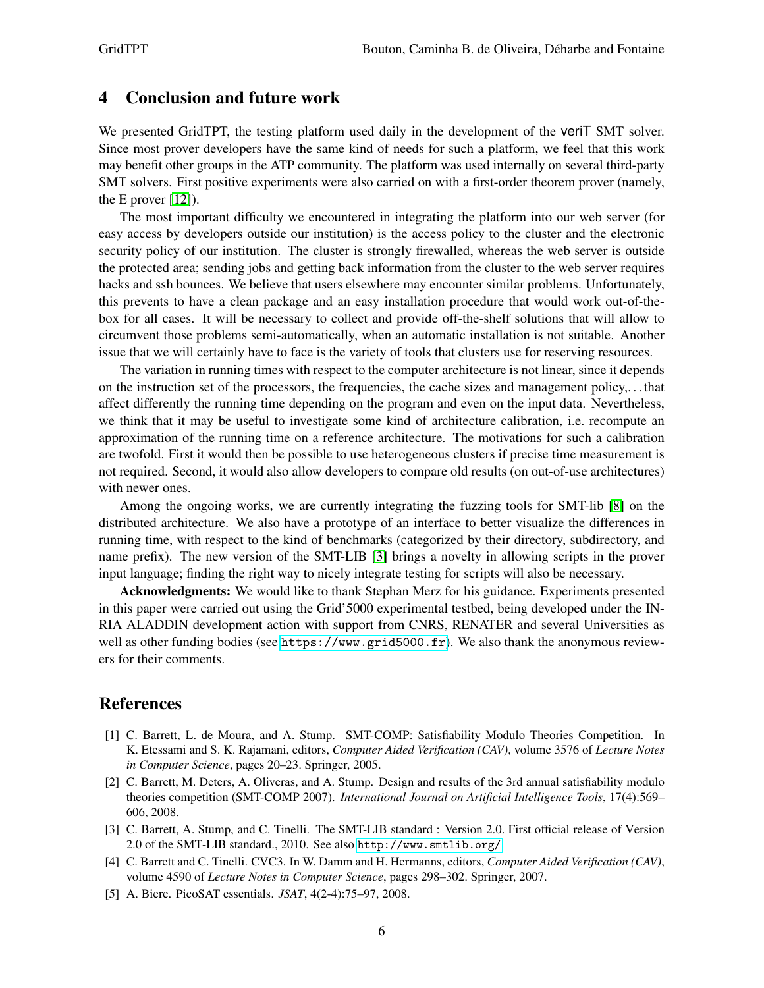## 4 Conclusion and future work

We presented GridTPT, the testing platform used daily in the development of the veriT SMT solver. Since most prover developers have the same kind of needs for such a platform, we feel that this work may benefit other groups in the ATP community. The platform was used internally on several third-party SMT solvers. First positive experiments were also carried on with a first-order theorem prover (namely, the E prover [\[12\]](#page-6-1)).

The most important difficulty we encountered in integrating the platform into our web server (for easy access by developers outside our institution) is the access policy to the cluster and the electronic security policy of our institution. The cluster is strongly firewalled, whereas the web server is outside the protected area; sending jobs and getting back information from the cluster to the web server requires hacks and ssh bounces. We believe that users elsewhere may encounter similar problems. Unfortunately, this prevents to have a clean package and an easy installation procedure that would work out-of-thebox for all cases. It will be necessary to collect and provide off-the-shelf solutions that will allow to circumvent those problems semi-automatically, when an automatic installation is not suitable. Another issue that we will certainly have to face is the variety of tools that clusters use for reserving resources.

The variation in running times with respect to the computer architecture is not linear, since it depends on the instruction set of the processors, the frequencies, the cache sizes and management policy,. . . that affect differently the running time depending on the program and even on the input data. Nevertheless, we think that it may be useful to investigate some kind of architecture calibration, i.e. recompute an approximation of the running time on a reference architecture. The motivations for such a calibration are twofold. First it would then be possible to use heterogeneous clusters if precise time measurement is not required. Second, it would also allow developers to compare old results (on out-of-use architectures) with newer ones.

Among the ongoing works, we are currently integrating the fuzzing tools for SMT-lib [\[8\]](#page-6-7) on the distributed architecture. We also have a prototype of an interface to better visualize the differences in running time, with respect to the kind of benchmarks (categorized by their directory, subdirectory, and name prefix). The new version of the SMT-LIB [\[3\]](#page-5-2) brings a novelty in allowing scripts in the prover input language; finding the right way to nicely integrate testing for scripts will also be necessary.

Acknowledgments: We would like to thank Stephan Merz for his guidance. Experiments presented in this paper were carried out using the Grid'5000 experimental testbed, being developed under the IN-RIA ALADDIN development action with support from CNRS, RENATER and several Universities as well as other funding bodies (see <https://www.grid5000.fr>). We also thank the anonymous reviewers for their comments.

### References

- <span id="page-5-0"></span>[1] C. Barrett, L. de Moura, and A. Stump. SMT-COMP: Satisfiability Modulo Theories Competition. In K. Etessami and S. K. Rajamani, editors, *Computer Aided Verification (CAV)*, volume 3576 of *Lecture Notes in Computer Science*, pages 20–23. Springer, 2005.
- <span id="page-5-1"></span>[2] C. Barrett, M. Deters, A. Oliveras, and A. Stump. Design and results of the 3rd annual satisfiability modulo theories competition (SMT-COMP 2007). *International Journal on Artificial Intelligence Tools*, 17(4):569– 606, 2008.
- <span id="page-5-2"></span>[3] C. Barrett, A. Stump, and C. Tinelli. The SMT-LIB standard : Version 2.0. First official release of Version 2.0 of the SMT-LIB standard., 2010. See also <http://www.smtlib.org/>.
- <span id="page-5-3"></span>[4] C. Barrett and C. Tinelli. CVC3. In W. Damm and H. Hermanns, editors, *Computer Aided Verification (CAV)*, volume 4590 of *Lecture Notes in Computer Science*, pages 298–302. Springer, 2007.
- <span id="page-5-4"></span>[5] A. Biere. PicoSAT essentials. *JSAT*, 4(2-4):75–97, 2008.